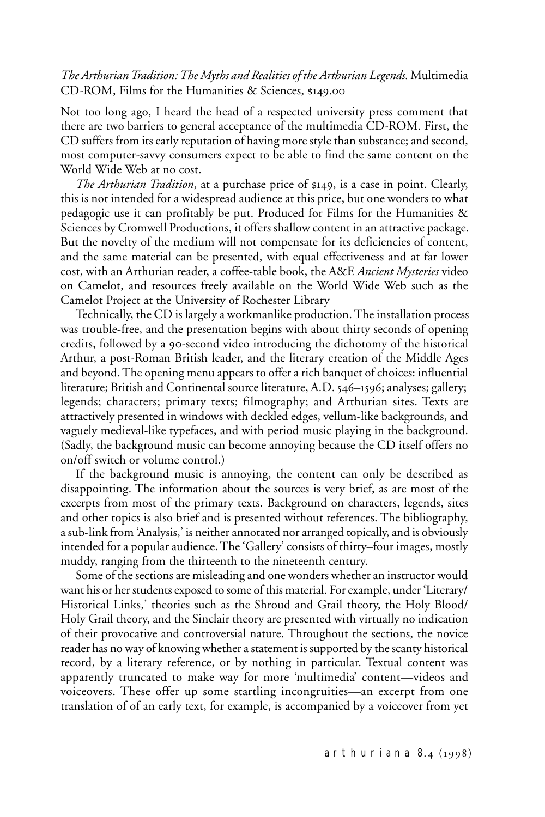## *The Arthurian Tradition: The Myths and Realities of the Arthurian Legends.* Multimedia CD-ROM, Films for the Humanities & Sciences, \$149.00

Not too long ago, I heard the head of a respected university press comment that there are two barriers to general acceptance of the multimedia CD-ROM. First, the CD suffers from its early reputation of having more style than substance; and second, most computer-savvy consumers expect to be able to find the same content on the World Wide Web at no cost.

*The Arthurian Tradition*, at a purchase price of \$149, is a case in point. Clearly, this is not intended for a widespread audience at this price, but one wonders to what pedagogic use it can profitably be put. Produced for Films for the Humanities & Sciences by Cromwell Productions, it offers shallow content in an attractive package. But the novelty of the medium will not compensate for its deficiencies of content, and the same material can be presented, with equal effectiveness and at far lower cost, with an Arthurian reader, a coffee-table book, the A&E *Ancient Mysteries* video on Camelot, and resources freely available on the World Wide Web such as the Camelot Project at the University of Rochester Library

Technically, the CD is largely a workmanlike production. The installation process was trouble-free, and the presentation begins with about thirty seconds of opening credits, followed by a 90-second video introducing the dichotomy of the historical Arthur, a post-Roman British leader, and the literary creation of the Middle Ages and beyond. The opening menu appears to offer a rich banquet of choices: influential literature; British and Continental source literature, A.D. 546–1596; analyses; gallery; legends; characters; primary texts; filmography; and Arthurian sites. Texts are attractively presented in windows with deckled edges, vellum-like backgrounds, and vaguely medieval-like typefaces, and with period music playing in the background. (Sadly, the background music can become annoying because the CD itself offers no on/off switch or volume control.)

If the background music is annoying, the content can only be described as disappointing. The information about the sources is very brief, as are most of the excerpts from most of the primary texts. Background on characters, legends, sites and other topics is also brief and is presented without references. The bibliography, a sub-link from 'Analysis,' is neither annotated nor arranged topically, and is obviously intended for a popular audience. The 'Gallery' consists of thirty–four images, mostly muddy, ranging from the thirteenth to the nineteenth century.

Some of the sections are misleading and one wonders whether an instructor would want his or her students exposed to some of this material. For example, under 'Literary/ Historical Links,' theories such as the Shroud and Grail theory, the Holy Blood/ Holy Grail theory, and the Sinclair theory are presented with virtually no indication of their provocative and controversial nature. Throughout the sections, the novice reader has no way of knowing whether a statement is supported by the scanty historical record, by a literary reference, or by nothing in particular. Textual content was apparently truncated to make way for more 'multimedia' content—videos and voiceovers. These offer up some startling incongruities—an excerpt from one translation of of an early text, for example, is accompanied by a voiceover from yet